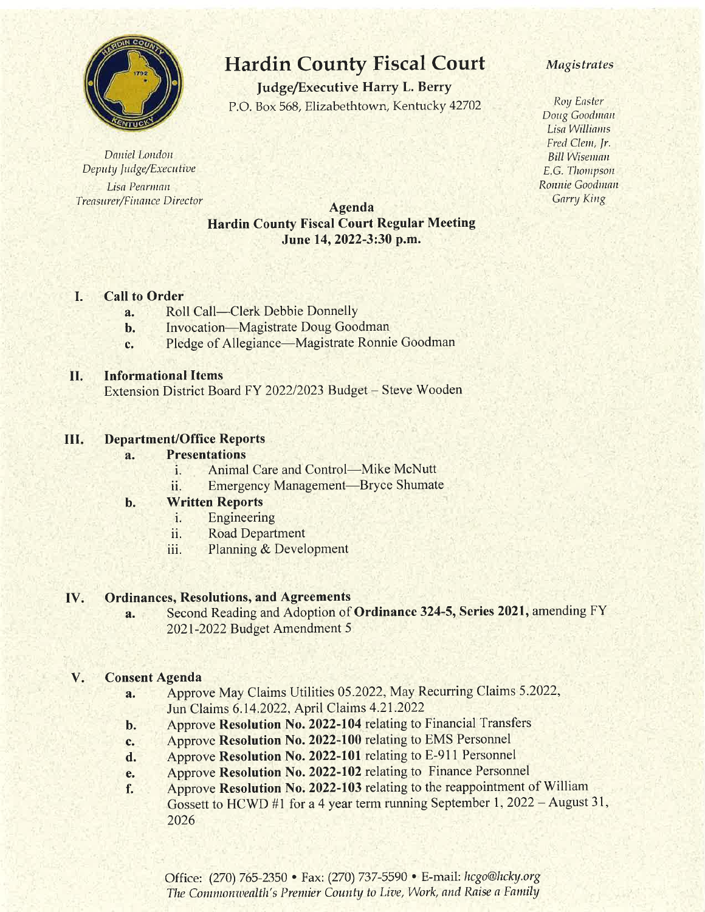

Daniel London Deputy Judge/Executive Lisa Pearman Treasurer/Finance Director

# Hardin County Fiscal Court

Judge/Executive Harry L. Berry P.O. Box 568, Elizabethtown, Kentucky 42702

## Agenda Hardin County Fiscal Court Regular Meeting June 14, 2022-3:30 p.m.

### I. Call to Order

- **a.** Roll Call—Clerk Debbie Donnelly<br>**b.** Invocation—Magistrate Doug Goo
- Invocation-Magistrate Doug Goodman
- c. Pledge of Allegiance—Magistrate Ronnie Goodman

#### II. Informational ltems

Extension District Board FY 2022/2023 Budget – Steve Wooden

#### III Department/Office Reports

### a. Presentations

- i. Animal Care and Control—Mike McNutt
- ii. Emergency Management-Bryce Shumate

### b. Written Reports

- i. Engineering
- ii. Road Department
- iii. Planning & Development

#### IV. Ordinances, Resolutions, and Agreements

a. Second Reading and Adoption of Ordinance 324-5, Series 2021, amending FY 2021-2022 Budget Amendment 5

### V. Consent Agenda

- a. Approve May Claims Utilities 05,2022, May Recurring Claims 5.2022, Jun Claims 6.14.2022, April Claims 4.21.2022
- b. Approve Resolution No. 2022-104 relating to Financial Transfers
- c. Approve Resolution No. 2022-100 relating to EMS Personnel
- d. Approve Resolution No. 2022-101 relating to E-911 Personnel
- e. Approve Resolution No. 2022-102 relating to Finance Personnel
- f. Approve Resolution No. 2022-103 relating to the reappointment of William Gossett to HCWD #1 for a 4 year term running September 1, 2022 – August 31, 2026

### Magistrates

Roy Enstar Doug Goodman Lisa Williams Fred Clem, Jr. **Bill Wiseman** E.G. Thompson Ronnie Goodman Garry King

Office: (270) 765-2350 • Fax: (270) 737-5590 • E-mail: hcgo@hcky.org The Commonwealth's Premier County to Live, Work, and Raise a Family